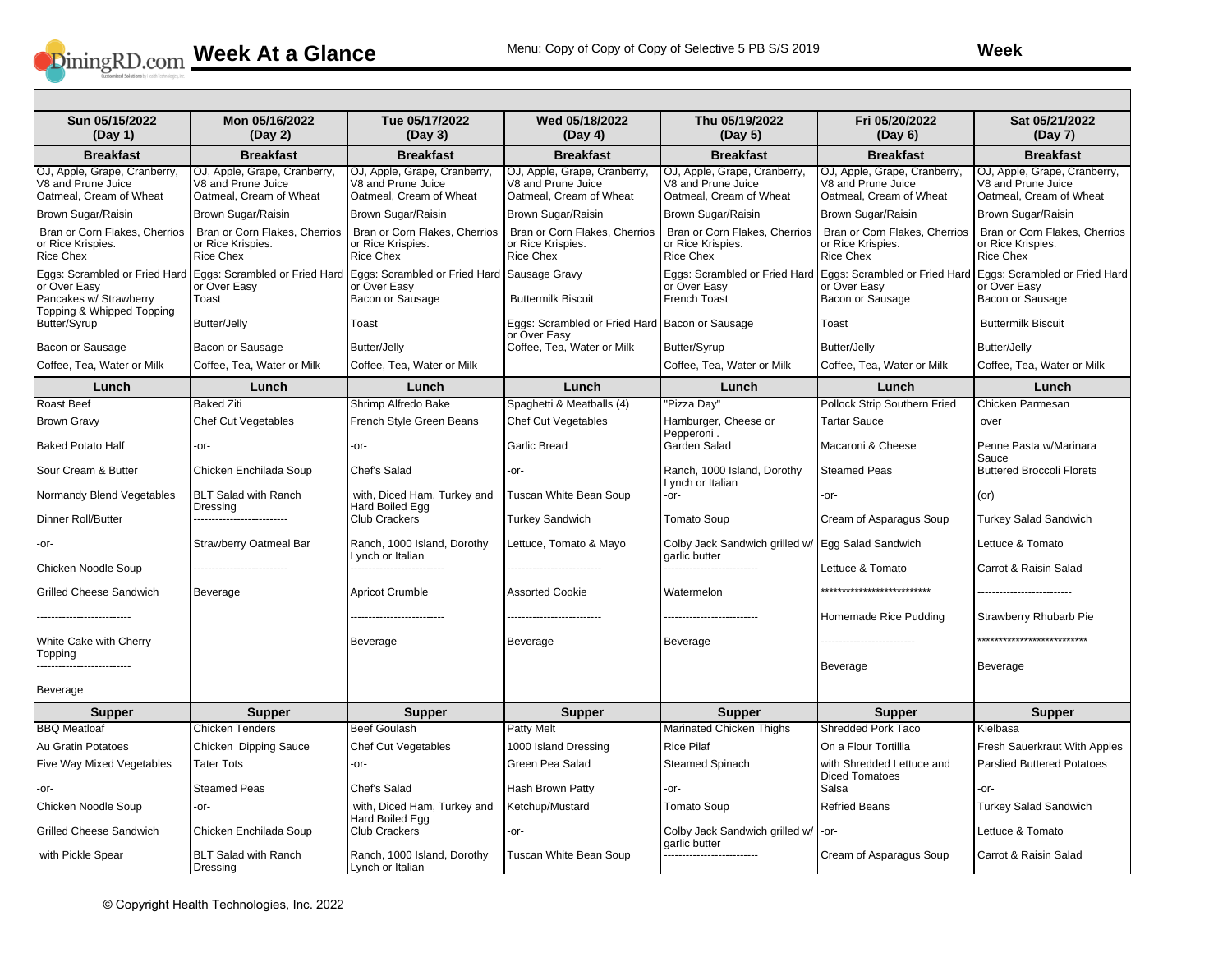

| Sun 05/15/2022<br>(Day 1)                                                     | Mon 05/16/2022<br>(Day 2)                                                                                          | Tue 05/17/2022<br>(Day 3)                                                     | Wed 05/18/2022<br>(Day 4)                                                     | Thu 05/19/2022<br>(Day 5)                                                     | Fri 05/20/2022<br>(Day 6)                                                     | Sat 05/21/2022<br>(Day 7)                                                     |
|-------------------------------------------------------------------------------|--------------------------------------------------------------------------------------------------------------------|-------------------------------------------------------------------------------|-------------------------------------------------------------------------------|-------------------------------------------------------------------------------|-------------------------------------------------------------------------------|-------------------------------------------------------------------------------|
| <b>Breakfast</b>                                                              | <b>Breakfast</b>                                                                                                   | <b>Breakfast</b>                                                              | <b>Breakfast</b>                                                              | <b>Breakfast</b>                                                              | <b>Breakfast</b>                                                              | <b>Breakfast</b>                                                              |
| OJ, Apple, Grape, Cranberry,<br>V8 and Prune Juice<br>Oatmeal, Cream of Wheat | OJ, Apple, Grape, Cranberry,<br>V8 and Prune Juice<br>Oatmeal, Cream of Wheat                                      | OJ, Apple, Grape, Cranberry,<br>V8 and Prune Juice<br>Oatmeal, Cream of Wheat | OJ, Apple, Grape, Cranberry,<br>V8 and Prune Juice<br>Oatmeal, Cream of Wheat | OJ, Apple, Grape, Cranberry,<br>V8 and Prune Juice<br>Oatmeal, Cream of Wheat | OJ, Apple, Grape, Cranberry,<br>V8 and Prune Juice<br>Oatmeal, Cream of Wheat | OJ, Apple, Grape, Cranberry,<br>V8 and Prune Juice<br>Oatmeal, Cream of Wheat |
| Brown Sugar/Raisin                                                            | Brown Sugar/Raisin                                                                                                 | Brown Sugar/Raisin                                                            | Brown Sugar/Raisin                                                            | Brown Sugar/Raisin                                                            | Brown Sugar/Raisin                                                            | Brown Sugar/Raisin                                                            |
| Bran or Corn Flakes, Cherrios<br>or Rice Krispies.<br><b>Rice Chex</b>        | Bran or Corn Flakes, Cherrios<br>or Rice Krispies.<br><b>Rice Chex</b>                                             | Bran or Corn Flakes, Cherrios<br>or Rice Krispies.<br><b>Rice Chex</b>        | Bran or Corn Flakes, Cherrios<br>or Rice Krispies.<br><b>Rice Chex</b>        | Bran or Corn Flakes, Cherrios<br>or Rice Krispies.<br><b>Rice Chex</b>        | Bran or Corn Flakes, Cherrios<br>or Rice Krispies.<br><b>Rice Chex</b>        | Bran or Corn Flakes, Cherrios<br>or Rice Krispies.<br><b>Rice Chex</b>        |
| or Over Easy<br>Pancakes w/ Strawberry<br>Topping & Whipped Topping           | Eggs: Scrambled or Fried Hard Eggs: Scrambled or Fried Hard Eggs: Scrambled or Fried Hard<br>or Over Easy<br>Toast | or Over Easy<br>Bacon or Sausage                                              | Sausage Gravy<br><b>Buttermilk Biscuit</b>                                    | Eggs: Scrambled or Fried Hard<br>or Over Easy<br><b>French Toast</b>          | Eggs: Scrambled or Fried Hard<br>or Over Easy<br>Bacon or Sausage             | Eggs: Scrambled or Fried Hard<br>or Over Easy<br>Bacon or Sausage             |
| Butter/Syrup                                                                  | Butter/Jelly                                                                                                       | Toast                                                                         | Eggs: Scrambled or Fried Hard Bacon or Sausage<br>or Over Easy                |                                                                               | Toast                                                                         | <b>Buttermilk Biscuit</b>                                                     |
| Bacon or Sausage                                                              | Bacon or Sausage                                                                                                   | <b>Butter/Jelly</b>                                                           | Coffee, Tea, Water or Milk                                                    | Butter/Syrup                                                                  | <b>Butter/Jelly</b>                                                           | <b>Butter/Jelly</b>                                                           |
| Coffee, Tea, Water or Milk                                                    | Coffee, Tea, Water or Milk                                                                                         | Coffee, Tea, Water or Milk                                                    |                                                                               | Coffee, Tea, Water or Milk                                                    | Coffee, Tea, Water or Milk                                                    | Coffee, Tea, Water or Milk                                                    |
| Lunch                                                                         | Lunch                                                                                                              | Lunch                                                                         | Lunch                                                                         | Lunch                                                                         | Lunch                                                                         | Lunch                                                                         |
| <b>Roast Beef</b>                                                             | <b>Baked Ziti</b>                                                                                                  | Shrimp Alfredo Bake                                                           | Spaghetti & Meatballs (4)                                                     | "Pizza Day"                                                                   | Pollock Strip Southern Fried                                                  | Chicken Parmesan                                                              |
| <b>Brown Gravy</b>                                                            | Chef Cut Vegetables                                                                                                | French Style Green Beans                                                      | <b>Chef Cut Vegetables</b>                                                    | Hamburger, Cheese or<br>Pepperoni.                                            | <b>Tartar Sauce</b>                                                           | over                                                                          |
| Baked Potato Half                                                             | $-0r-$                                                                                                             | -or-                                                                          | <b>Garlic Bread</b>                                                           | Garden Salad                                                                  | Macaroni & Cheese                                                             | Penne Pasta w/Marinara<br>Sauce                                               |
| Sour Cream & Butter                                                           | Chicken Enchilada Soup                                                                                             | Chef's Salad                                                                  | -or-                                                                          | Ranch, 1000 Island, Dorothy<br>Lynch or Italian                               | <b>Steamed Peas</b>                                                           | <b>Buttered Broccoli Florets</b>                                              |
| Normandy Blend Vegetables                                                     | <b>BLT Salad with Ranch</b><br>Dressing                                                                            | with, Diced Ham, Turkey and<br>Hard Boiled Egg                                | Tuscan White Bean Soup                                                        | -or-                                                                          | -or-                                                                          | (or)                                                                          |
| Dinner Roll/Butter                                                            |                                                                                                                    | <b>Club Crackers</b>                                                          | <b>Turkey Sandwich</b>                                                        | <b>Tomato Soup</b>                                                            | Cream of Asparagus Soup                                                       | <b>Turkey Salad Sandwich</b>                                                  |
| -or-                                                                          | <b>Strawberry Oatmeal Bar</b>                                                                                      | Ranch, 1000 Island, Dorothy<br>Lynch or Italian                               | Lettuce, Tomato & Mayo                                                        | Colby Jack Sandwich grilled w/<br>garlic butter                               | Egg Salad Sandwich                                                            | Lettuce & Tomato                                                              |
| Chicken Noodle Soup                                                           |                                                                                                                    |                                                                               |                                                                               |                                                                               | Lettuce & Tomato                                                              | Carrot & Raisin Salad                                                         |
| <b>Grilled Cheese Sandwich</b>                                                | Beverage                                                                                                           | <b>Apricot Crumble</b>                                                        | <b>Assorted Cookie</b>                                                        | Watermelon                                                                    | **************************                                                    |                                                                               |
| ----------------------                                                        |                                                                                                                    |                                                                               |                                                                               |                                                                               | Homemade Rice Pudding                                                         | <b>Strawberry Rhubarb Pie</b>                                                 |
| White Cake with Cherry<br>Topping                                             |                                                                                                                    | Beverage                                                                      | Beverage                                                                      | Beverage                                                                      |                                                                               | **************************                                                    |
|                                                                               |                                                                                                                    |                                                                               |                                                                               |                                                                               | Beverage                                                                      | Beverage                                                                      |
| Beverage                                                                      |                                                                                                                    |                                                                               |                                                                               |                                                                               |                                                                               |                                                                               |
| <b>Supper</b>                                                                 | <b>Supper</b>                                                                                                      | <b>Supper</b>                                                                 | <b>Supper</b>                                                                 | <b>Supper</b>                                                                 | <b>Supper</b>                                                                 | <b>Supper</b>                                                                 |
| <b>BBO</b> Meatloaf                                                           | <b>Chicken Tenders</b>                                                                                             | <b>Beef Goulash</b>                                                           | <b>Patty Melt</b>                                                             | <b>Marinated Chicken Thighs</b>                                               | <b>Shredded Pork Taco</b>                                                     | Kielbasa                                                                      |
| Au Gratin Potatoes                                                            | Chicken Dipping Sauce                                                                                              | <b>Chef Cut Vegetables</b>                                                    | 1000 Island Dressing                                                          | <b>Rice Pilaf</b>                                                             | On a Flour Tortillia                                                          | Fresh Sauerkraut With Apples                                                  |
| Five Way Mixed Vegetables                                                     | <b>Tater Tots</b>                                                                                                  | -or-                                                                          | Green Pea Salad                                                               | <b>Steamed Spinach</b>                                                        | with Shredded Lettuce and<br><b>Diced Tomatoes</b>                            | <b>Parslied Buttered Potatoes</b>                                             |
| -or-                                                                          | <b>Steamed Peas</b>                                                                                                | Chef's Salad                                                                  | Hash Brown Patty                                                              | -or-                                                                          | Salsa                                                                         | $-0r-$                                                                        |
| Chicken Noodle Soup                                                           | -or-                                                                                                               | with, Diced Ham, Turkey and<br>Hard Boiled Egg                                | Ketchup/Mustard                                                               | Tomato Soup                                                                   | <b>Refried Beans</b>                                                          | <b>Turkey Salad Sandwich</b>                                                  |
| <b>Grilled Cheese Sandwich</b>                                                | Chicken Enchilada Soup                                                                                             | <b>Club Crackers</b>                                                          | -or-                                                                          | Colby Jack Sandwich grilled w/<br>garlic butter                               | -or-                                                                          | Lettuce & Tomato                                                              |
| with Pickle Spear                                                             | <b>BLT Salad with Ranch</b><br>Dressing                                                                            | Ranch, 1000 Island, Dorothy<br>Lynch or Italian                               | Tuscan White Bean Soup                                                        |                                                                               | Cream of Asparagus Soup                                                       | Carrot & Raisin Salad                                                         |